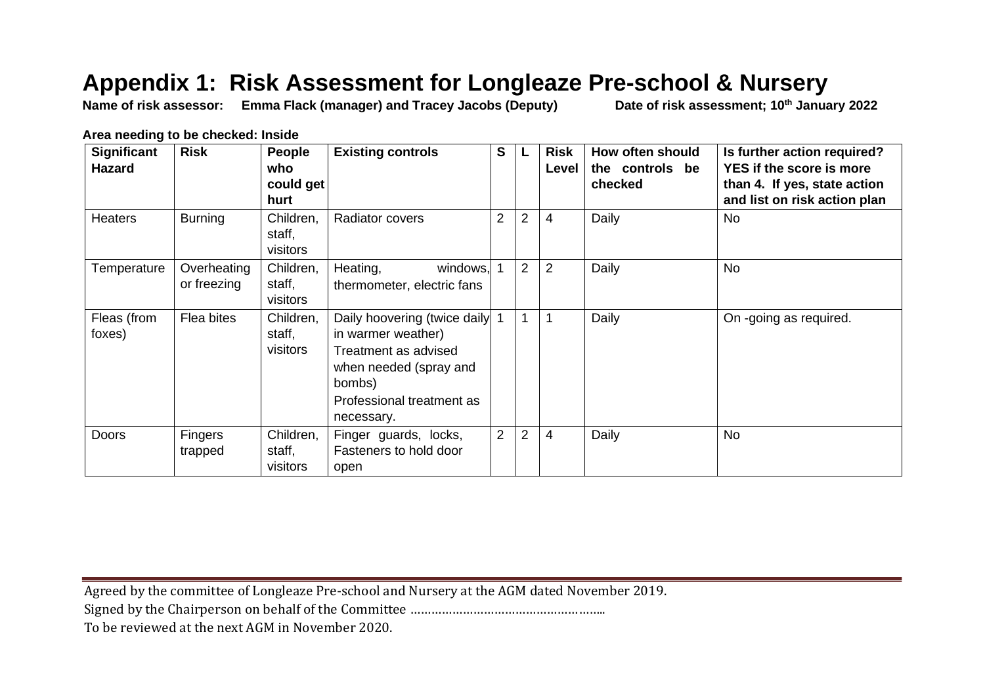## **Appendix 1: Risk Assessment for Longleaze Pre-school & Nursery**

**Name of risk assessor: Emma Flack (manager) and Tracey Jacobs (Deputy) Date of risk assessment; 10th January 2022**

**Area needing to be checked: Inside** 

| <b>Significant</b><br><b>Hazard</b> | <b>Risk</b>                | People<br>who<br>could get<br>hurt | <b>Existing controls</b>                                                                                                                                  | S              |                | <b>Risk</b><br>Level | How often should<br>the controls be<br>checked | Is further action required?<br>YES if the score is more<br>than 4. If yes, state action<br>and list on risk action plan |
|-------------------------------------|----------------------------|------------------------------------|-----------------------------------------------------------------------------------------------------------------------------------------------------------|----------------|----------------|----------------------|------------------------------------------------|-------------------------------------------------------------------------------------------------------------------------|
| <b>Heaters</b>                      | <b>Burning</b>             | Children,<br>staff,<br>visitors    | Radiator covers                                                                                                                                           | $\overline{2}$ | $\overline{2}$ | 4                    | Daily                                          | <b>No</b>                                                                                                               |
| Temperature                         | Overheating<br>or freezing | Children,<br>staff,<br>visitors    | Heating,<br>windows,<br>thermometer, electric fans                                                                                                        |                | $\overline{2}$ | 2                    | Daily                                          | No                                                                                                                      |
| Fleas (from<br>foxes)               | Flea bites                 | Children,<br>staff,<br>visitors    | Daily hoovering (twice daily<br>in warmer weather)<br>Treatment as advised<br>when needed (spray and<br>bombs)<br>Professional treatment as<br>necessary. |                | $\mathbf{1}$   |                      | Daily                                          | On -going as required.                                                                                                  |
| Doors                               | <b>Fingers</b><br>trapped  | Children,<br>staff,<br>visitors    | Finger guards, locks,<br>Fasteners to hold door<br>open                                                                                                   | $\overline{2}$ | $\overline{2}$ | 4                    | Daily                                          | <b>No</b>                                                                                                               |

Agreed by the committee of Longleaze Pre-school and Nursery at the AGM dated November 2019.

Signed by the Chairperson on behalf of the Committee ………………………………………………..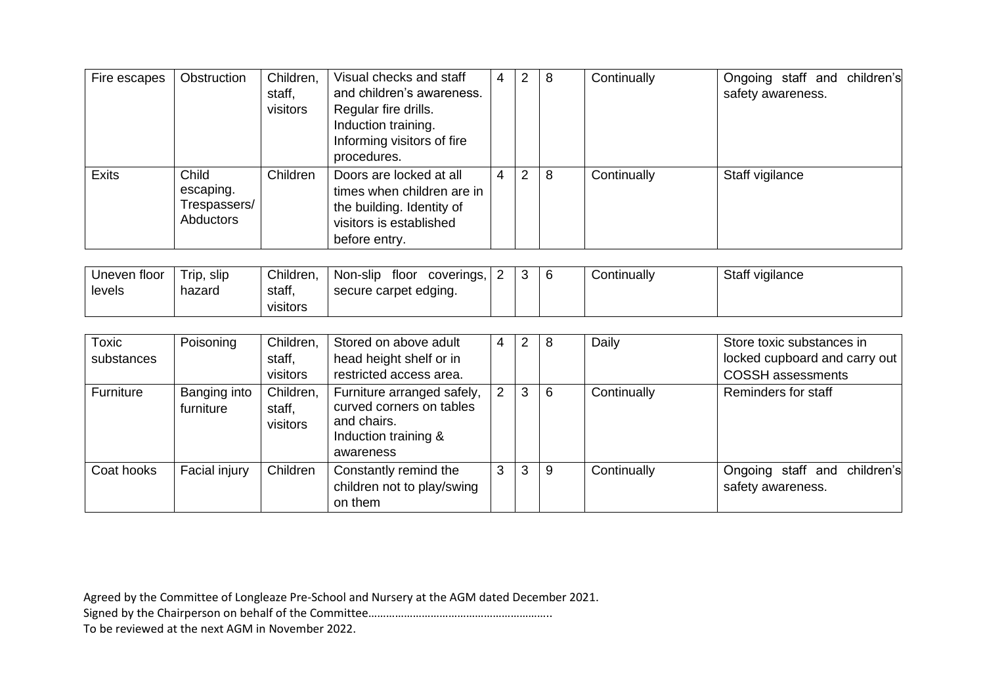| Fire escapes | Obstruction                                     | Children,<br>staff,<br>visitors | Visual checks and staff<br>and children's awareness.<br>Regular fire drills.<br>Induction training.<br>Informing visitors of fire<br>procedures. | 4 | $\overline{2}$ | -8 | Continually | Ongoing staff and children's<br>safety awareness. |
|--------------|-------------------------------------------------|---------------------------------|--------------------------------------------------------------------------------------------------------------------------------------------------|---|----------------|----|-------------|---------------------------------------------------|
| <b>Exits</b> | Child<br>escaping.<br>Trespassers/<br>Abductors | Children                        | Doors are locked at all<br>times when children are in<br>the building. Identity of<br>visitors is established<br>before entry.                   | 4 | 2              | 8  | Continually | Staff vigilance                                   |

| Uneven floor | ' rip.<br>slıp | Children, | Non-slip<br>tloor<br>coverings, | ⌒ |  | Continuallv | Staff vigilance |
|--------------|----------------|-----------|---------------------------------|---|--|-------------|-----------------|
| levels       | hazard         | staff,    | secure carpet edging.           |   |  |             |                 |
|              |                | visitors  |                                 |   |  |             |                 |

| Toxic<br>substances | Poisoning                 | Children,<br>staff,<br>visitors | Stored on above adult<br>head height shelf or in<br>restricted access area.                                | 4 | 2 | 8 | Daily       | Store toxic substances in<br>locked cupboard and carry out<br><b>COSSH</b> assessments |
|---------------------|---------------------------|---------------------------------|------------------------------------------------------------------------------------------------------------|---|---|---|-------------|----------------------------------------------------------------------------------------|
| Furniture           | Banging into<br>furniture | Children,<br>staff.<br>visitors | Furniture arranged safely,<br>curved corners on tables<br>and chairs.<br>Induction training &<br>awareness | 2 | 3 | 6 | Continually | Reminders for staff                                                                    |
| Coat hooks          | Facial injury             | Children                        | Constantly remind the<br>children not to play/swing<br>on them                                             | 3 | 3 | 9 | Continually | Ongoing staff and children's<br>safety awareness.                                      |

Signed by the Chairperson on behalf of the Committee……………………………………………………..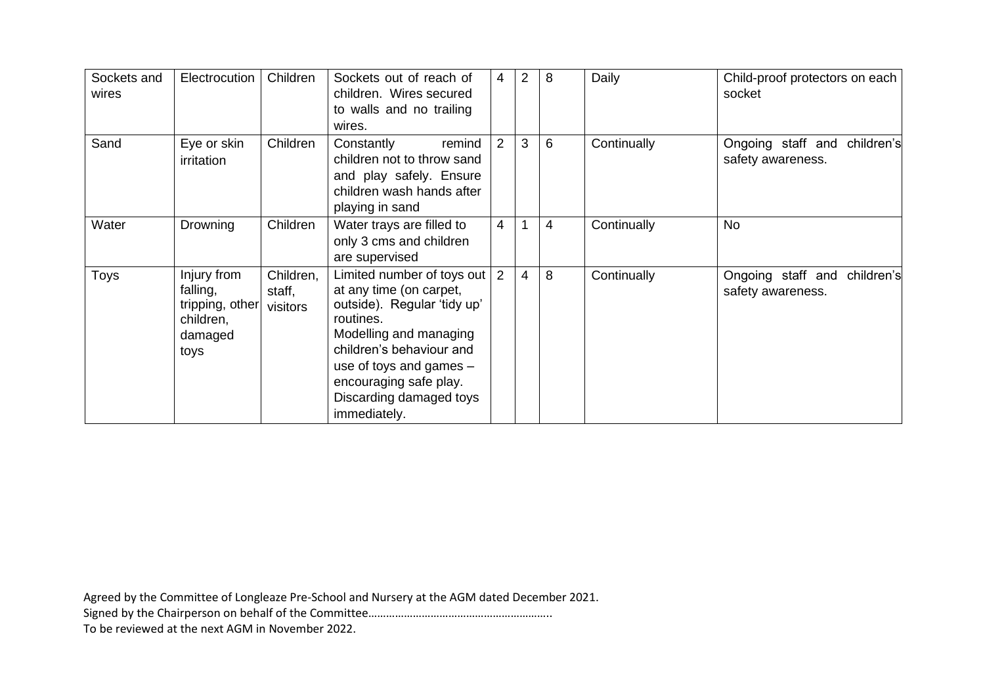| Sockets and<br>wires | Electrocution                                                              | Children                        | Sockets out of reach of<br>children. Wires secured<br>to walls and no trailing<br>wires.                                                                                                                                                                  | 4              | 2              | 8 | Daily       | Child-proof protectors on each<br>socket          |
|----------------------|----------------------------------------------------------------------------|---------------------------------|-----------------------------------------------------------------------------------------------------------------------------------------------------------------------------------------------------------------------------------------------------------|----------------|----------------|---|-------------|---------------------------------------------------|
| Sand                 | Eye or skin<br>irritation                                                  | Children                        | Constantly<br>remind<br>children not to throw sand<br>and play safely. Ensure<br>children wash hands after<br>playing in sand                                                                                                                             | 2              | 3              | 6 | Continually | Ongoing staff and children's<br>safety awareness. |
| Water                | Drowning                                                                   | Children                        | Water trays are filled to<br>only 3 cms and children<br>are supervised                                                                                                                                                                                    | $\overline{4}$ |                | 4 | Continually | <b>No</b>                                         |
| Toys                 | Injury from<br>falling,<br>tripping, other<br>children,<br>damaged<br>toys | Children,<br>staff,<br>visitors | Limited number of toys out<br>at any time (on carpet,<br>outside). Regular 'tidy up'<br>routines.<br>Modelling and managing<br>children's behaviour and<br>use of toys and games $-$<br>encouraging safe play.<br>Discarding damaged toys<br>immediately. | 2              | $\overline{4}$ | 8 | Continually | Ongoing staff and children's<br>safety awareness. |

Signed by the Chairperson on behalf of the Committee……………………………………………………..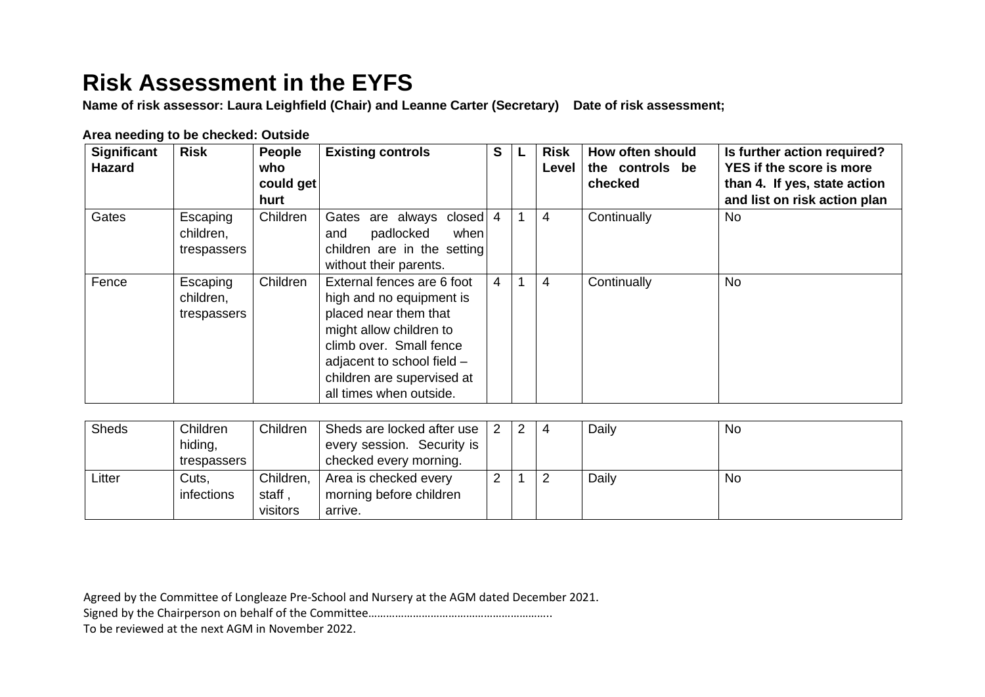## **Risk Assessment in the EYFS**

**Name of risk assessor: Laura Leighfield (Chair) and Leanne Carter (Secretary) Date of risk assessment;**

| <b>Significant</b><br><b>Hazard</b> | <b>Risk</b>                          | <b>People</b><br>who<br>could get<br>hurt | <b>Existing controls</b>                                                                                                                                                                                                     | S. | <b>Risk</b><br>Level | How often should<br>the controls be<br>checked | Is further action required?<br>YES if the score is more<br>than 4. If yes, state action<br>and list on risk action plan |
|-------------------------------------|--------------------------------------|-------------------------------------------|------------------------------------------------------------------------------------------------------------------------------------------------------------------------------------------------------------------------------|----|----------------------|------------------------------------------------|-------------------------------------------------------------------------------------------------------------------------|
| Gates                               | Escaping<br>children,<br>trespassers | Children                                  | Gates are always<br>closed<br>padlocked<br>when<br>and<br>children are in the setting<br>without their parents.                                                                                                              | 4  | 4                    | Continually                                    | No.                                                                                                                     |
| Fence                               | Escaping<br>children,<br>trespassers | Children                                  | External fences are 6 foot<br>high and no equipment is<br>placed near them that<br>might allow children to<br>climb over. Small fence<br>adjacent to school field -<br>children are supervised at<br>all times when outside. | 4  | 4                    | Continually                                    | <b>No</b>                                                                                                               |

## **Area needing to be checked: Outside**

| <b>Sheds</b> | Children    | Children  | Sheds are locked after use |  | 2 | $\overline{4}$ | Daily | <b>No</b> |
|--------------|-------------|-----------|----------------------------|--|---|----------------|-------|-----------|
|              | hiding,     |           | every session. Security is |  |   |                |       |           |
|              | trespassers |           | checked every morning.     |  |   |                |       |           |
| Litter       | Cuts,       | Children, | Area is checked every      |  |   |                | Daily | No        |
|              | infections  | staff.    | morning before children    |  |   |                |       |           |
|              |             | visitors  | arrive.                    |  |   |                |       |           |

Agreed by the Committee of Longleaze Pre-School and Nursery at the AGM dated December 2021.

Signed by the Chairperson on behalf of the Committee……………………………………………………..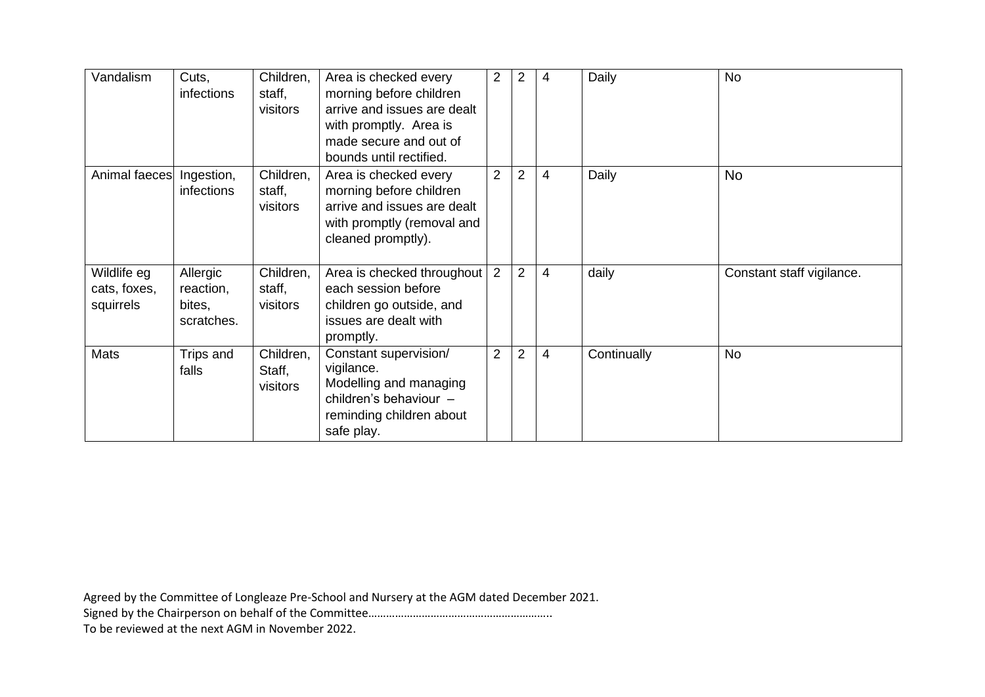| Vandalism                                | Cuts,<br>infections                           | Children,<br>staff,<br>visitors | Area is checked every<br>morning before children<br>arrive and issues are dealt<br>with promptly. Area is<br>made secure and out of<br>bounds until rectified. | $\overline{2}$ | 2              | $\overline{4}$ | Daily       | <b>No</b>                 |
|------------------------------------------|-----------------------------------------------|---------------------------------|----------------------------------------------------------------------------------------------------------------------------------------------------------------|----------------|----------------|----------------|-------------|---------------------------|
| Animal faeces Ingestion,                 | infections                                    | Children,<br>staff,<br>visitors | Area is checked every<br>morning before children<br>arrive and issues are dealt<br>with promptly (removal and<br>cleaned promptly).                            | $\overline{2}$ | $\overline{2}$ | $\overline{4}$ | Daily       | <b>No</b>                 |
| Wildlife eg<br>cats, foxes,<br>squirrels | Allergic<br>reaction,<br>bites,<br>scratches. | Children,<br>staff,<br>visitors | Area is checked throughout<br>each session before<br>children go outside, and<br>issues are dealt with<br>promptly.                                            | 2              | 2              | $\overline{4}$ | daily       | Constant staff vigilance. |
| Mats                                     | Trips and<br>falls                            | Children,<br>Staff,<br>visitors | Constant supervision/<br>vigilance.<br>Modelling and managing<br>children's behaviour -<br>reminding children about<br>safe play.                              | $\overline{2}$ | $\overline{2}$ | $\overline{4}$ | Continually | <b>No</b>                 |

Signed by the Chairperson on behalf of the Committee……………………………………………………..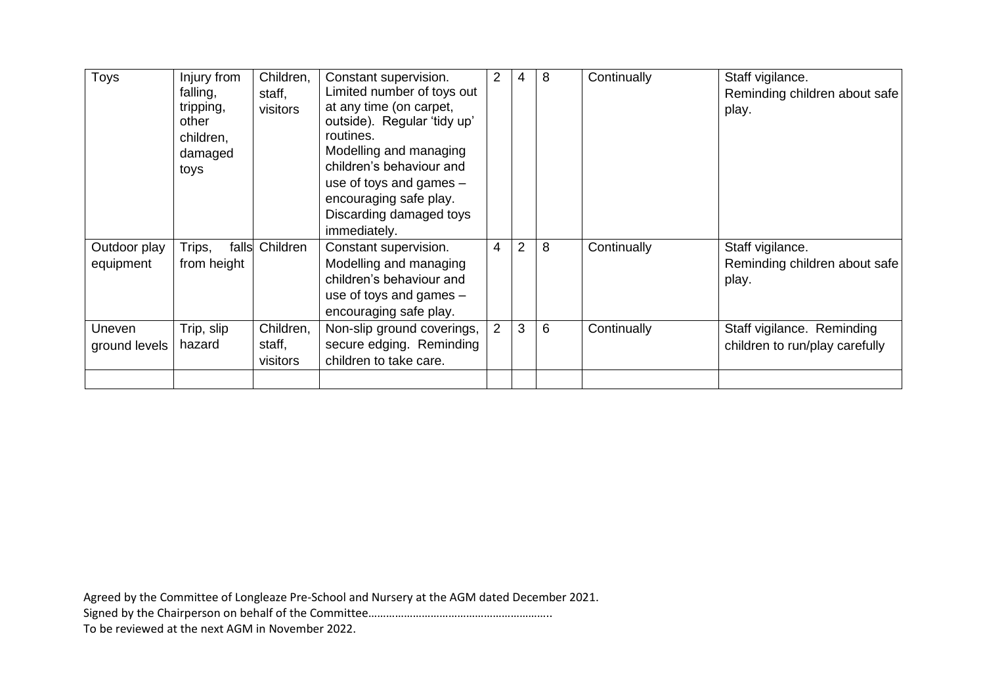| <b>Toys</b>               | Injury from<br>falling,<br>tripping,<br>other<br>children,<br>damaged<br>toys | Children,<br>staff,<br>visitors | Constant supervision.<br>Limited number of toys out<br>at any time (on carpet,<br>outside). Regular 'tidy up'<br>routines.<br>Modelling and managing<br>children's behaviour and<br>use of toys and games $-$<br>encouraging safe play.<br>Discarding damaged toys<br>immediately. | $\overline{2}$ | 4              | 8 | Continually | Staff vigilance.<br>Reminding children about safe<br>play.   |
|---------------------------|-------------------------------------------------------------------------------|---------------------------------|------------------------------------------------------------------------------------------------------------------------------------------------------------------------------------------------------------------------------------------------------------------------------------|----------------|----------------|---|-------------|--------------------------------------------------------------|
| Outdoor play<br>equipment | Trips,<br>falls<br>from height                                                | Children                        | Constant supervision.<br>Modelling and managing<br>children's behaviour and<br>use of toys and games $-$<br>encouraging safe play.                                                                                                                                                 | $\overline{4}$ | $\overline{2}$ | 8 | Continually | Staff vigilance.<br>Reminding children about safe<br>play.   |
| Uneven<br>ground levels   | Trip, slip<br>hazard                                                          | Children,<br>staff,<br>visitors | Non-slip ground coverings,<br>secure edging. Reminding<br>children to take care.                                                                                                                                                                                                   | $\overline{2}$ | 3              | 6 | Continually | Staff vigilance. Reminding<br>children to run/play carefully |

Signed by the Chairperson on behalf of the Committee……………………………………………………..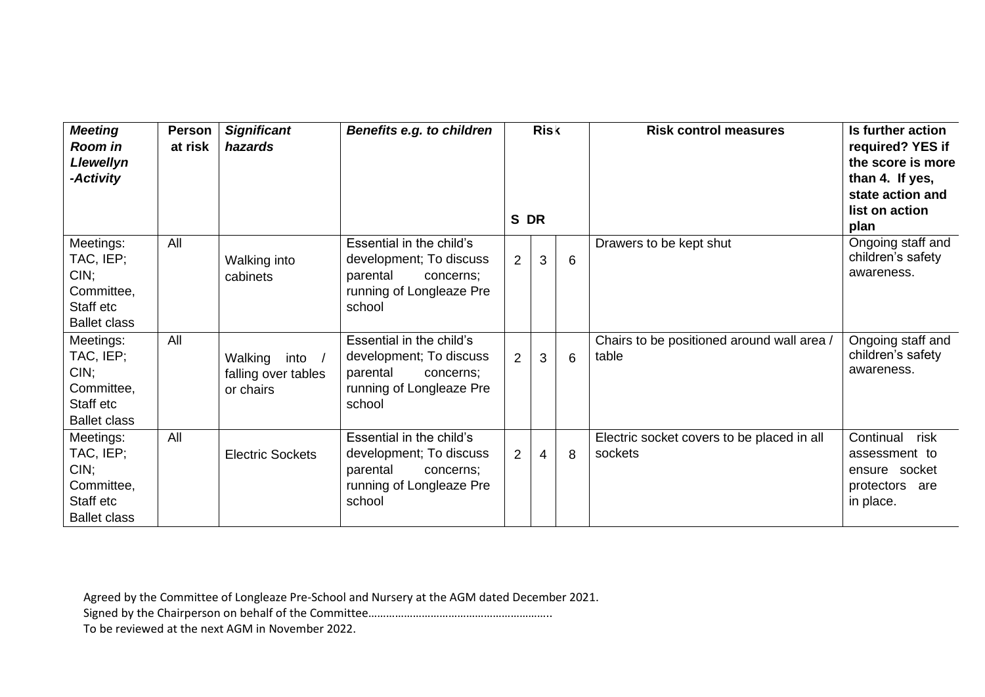| <b>Meeting</b><br>Room in<br>Llewellyn<br>-Activity                                 | <b>Person</b><br>at risk | <b>Significant</b><br>hazards                       | <b>Benefits e.g. to children</b>                                                                                   |                | <b>Risk</b><br>S DR |   | <b>Risk control measures</b>                          | Is further action<br>required? YES if<br>the score is more<br>than 4. If yes,<br>state action and<br>list on action<br>plan |
|-------------------------------------------------------------------------------------|--------------------------|-----------------------------------------------------|--------------------------------------------------------------------------------------------------------------------|----------------|---------------------|---|-------------------------------------------------------|-----------------------------------------------------------------------------------------------------------------------------|
| Meetings:<br>TAC, IEP;<br>CIN;<br>Committee,<br>Staff etc<br><b>Ballet class</b>    | All                      | Walking into<br>cabinets                            | Essential in the child's<br>development; To discuss<br>parental<br>concerns;<br>running of Longleaze Pre<br>school | $\overline{2}$ | 3                   | 6 | Drawers to be kept shut                               | Ongoing staff and<br>children's safety<br>awareness.                                                                        |
| Meetings:<br>TAC, IEP;<br>CIN;<br>Committee,<br>Staff etc<br><b>Ballet class</b>    | All                      | Walking<br>into<br>falling over tables<br>or chairs | Essential in the child's<br>development; To discuss<br>parental<br>concerns;<br>running of Longleaze Pre<br>school | $\overline{2}$ | 3                   | 6 | Chairs to be positioned around wall area /<br>table   | Ongoing staff and<br>children's safety<br>awareness.                                                                        |
| Meetings:<br>TAC, IEP;<br>$CIN$ ;<br>Committee,<br>Staff etc<br><b>Ballet class</b> | All                      | <b>Electric Sockets</b>                             | Essential in the child's<br>development; To discuss<br>parental<br>concerns;<br>running of Longleaze Pre<br>school | $\overline{2}$ | $\overline{4}$      | 8 | Electric socket covers to be placed in all<br>sockets | Continual<br>risk<br>assessment to<br>ensure socket<br>protectors are<br>in place.                                          |

Signed by the Chairperson on behalf of the Committee……………………………………………………..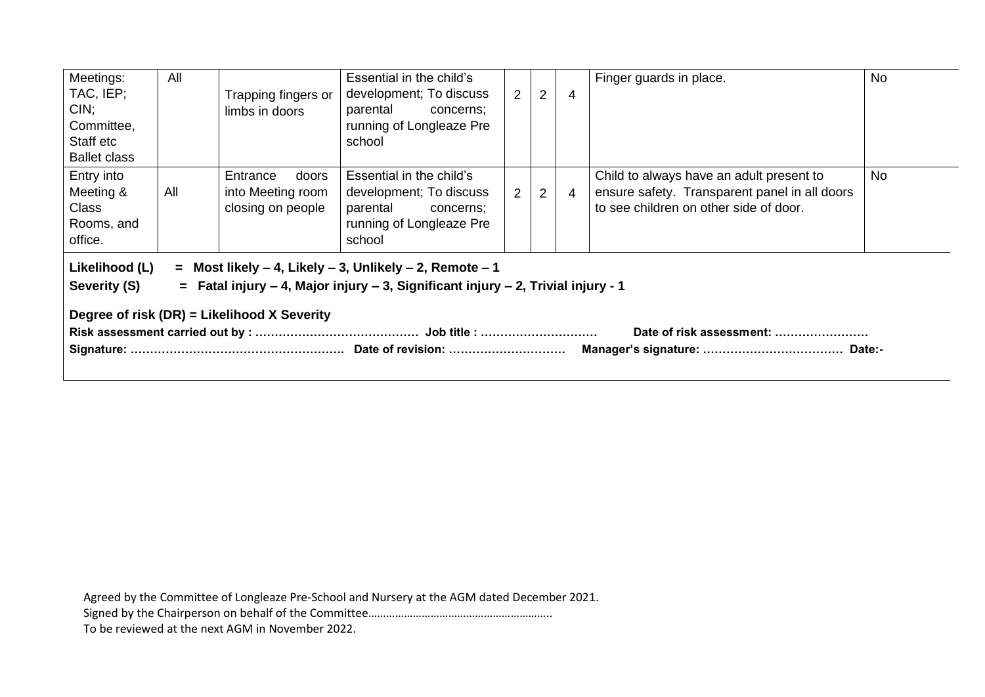| Meetings:<br>TAC, IEP;<br>$CIN$ ;<br>Committee,<br>Staff etc<br><b>Ballet class</b>                                                                                                                                                                                  | All | Trapping fingers or<br>limbs in doors                       | Essential in the child's<br>development; To discuss<br>parental<br>concerns;<br>running of Longleaze Pre<br>school | 2              | $\overline{2}$ | $\overline{4}$ | Finger guards in place.                                                                                                             | <b>No</b> |
|----------------------------------------------------------------------------------------------------------------------------------------------------------------------------------------------------------------------------------------------------------------------|-----|-------------------------------------------------------------|--------------------------------------------------------------------------------------------------------------------|----------------|----------------|----------------|-------------------------------------------------------------------------------------------------------------------------------------|-----------|
| Entry into<br>Meeting &<br><b>Class</b><br>Rooms, and<br>office.                                                                                                                                                                                                     | All | Entrance<br>doors<br>into Meeting room<br>closing on people | Essential in the child's<br>development; To discuss<br>parental<br>concerns;<br>running of Longleaze Pre<br>school | $\overline{2}$ | $\overline{2}$ | $\overline{4}$ | Child to always have an adult present to<br>ensure safety. Transparent panel in all doors<br>to see children on other side of door. | No        |
| Likelihood (L)<br>$=$ Most likely $-$ 4, Likely $-$ 3, Unlikely $-$ 2, Remote $-$ 1<br>Severity (S)<br>$=$ Fatal injury – 4, Major injury – 3, Significant injury – 2, Trivial injury - 1<br>Degree of risk (DR) = Likelihood X Severity<br>Date of risk assessment: |     |                                                             |                                                                                                                    |                |                |                |                                                                                                                                     |           |

Signed by the Chairperson on behalf of the Committee……………………………………………………..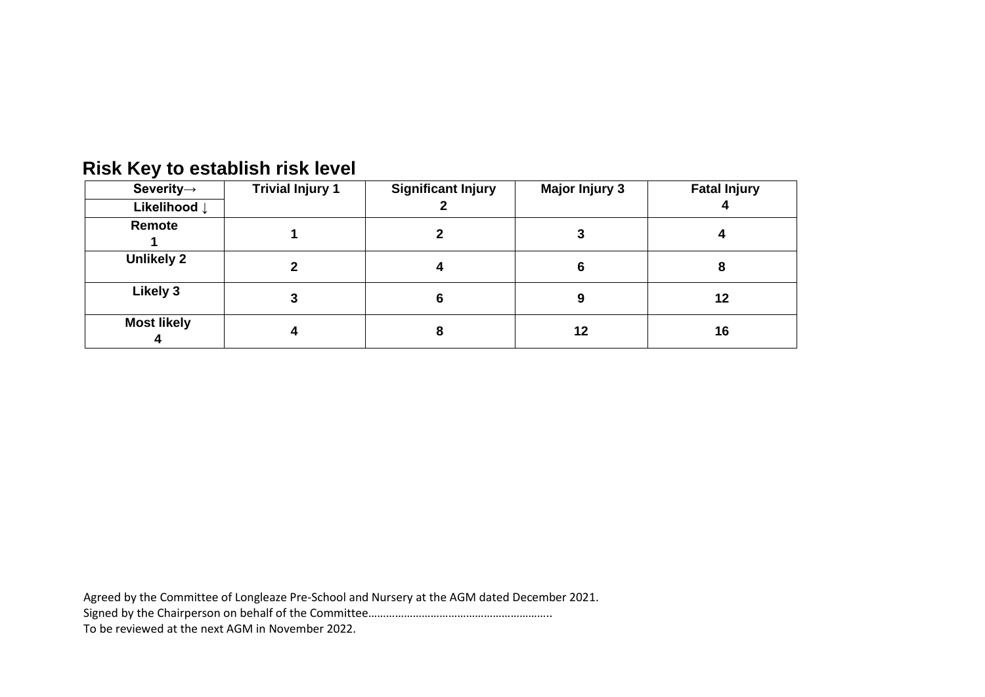| -                       |                         |                           |                       |                     |
|-------------------------|-------------------------|---------------------------|-----------------------|---------------------|
| Severity $\rightarrow$  | <b>Trivial Injury 1</b> | <b>Significant Injury</b> | <b>Major Injury 3</b> | <b>Fatal Injury</b> |
| Likelihood $\downarrow$ |                         |                           |                       |                     |
| Remote                  |                         |                           |                       |                     |
| <b>Unlikely 2</b>       |                         |                           |                       |                     |
| Likely 3                |                         | 6                         | 9                     | 12                  |
| <b>Most likely</b>      |                         | 8                         | 12                    | 16                  |

## **Risk Key to establish risk level**

Agreed by the Committee of Longleaze Pre-School and Nursery at the AGM dated December 2021.

Signed by the Chairperson on behalf of the Committee……………………………………………………..